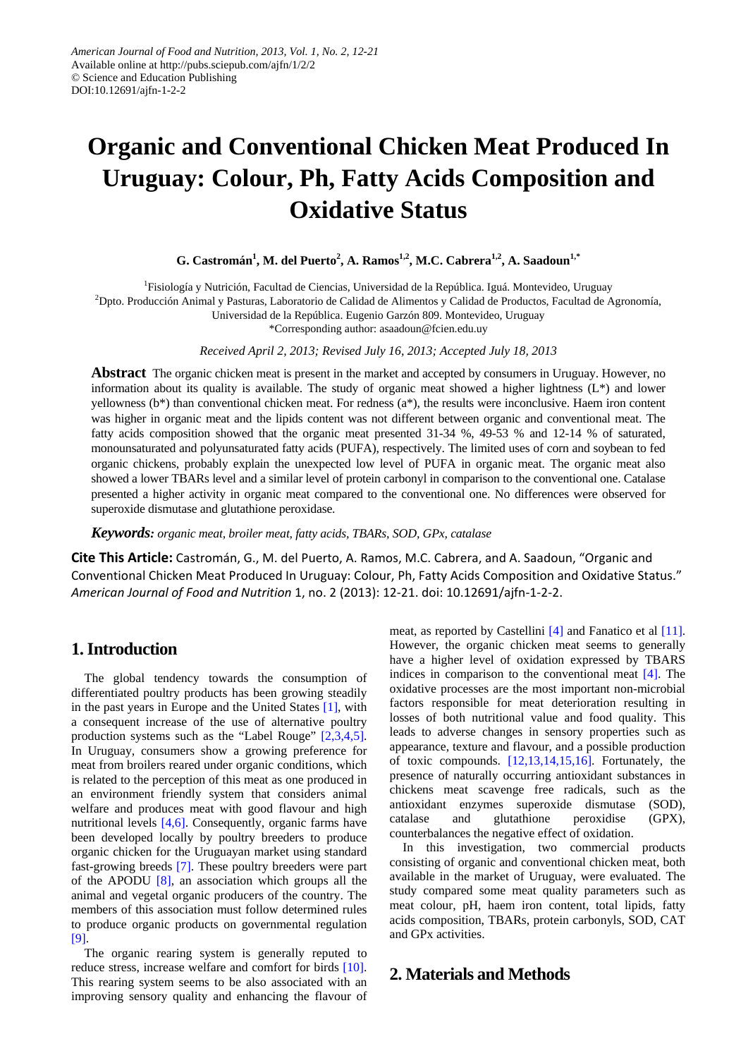# **Organic and Conventional Chicken Meat Produced In Uruguay: Colour, Ph, Fatty Acids Composition and Oxidative Status**

 $\mathbf{G.}$  Castromán<sup>1</sup>, M. del Puerto<sup>2</sup>, A. Ramos<sup>1,2</sup>, M.C. Cabrera<sup>1,2</sup>, A. Saadoun<sup>1,\*</sup>

<sup>1</sup>Fisiología y Nutrición, Facultad de Ciencias, Universidad de la República. Iguá. Montevideo, Uruguay

<sup>2</sup>Dpto. Producción Animal y Pasturas, Laboratorio de Calidad de Alimentos y Calidad de Productos, Facultad de Agronomía,

Universidad de la República. Eugenio Garzón 809. Montevideo, Uruguay

\*Corresponding author: asaadoun@fcien.edu.uy

*Received April 2, 2013; Revised July 16, 2013; Accepted July 18, 2013*

**Abstract** The organic chicken meat is present in the market and accepted by consumers in Uruguay. However, no information about its quality is available. The study of organic meat showed a higher lightness  $(L^*)$  and lower yellowness (b\*) than conventional chicken meat. For redness (a\*), the results were inconclusive. Haem iron content was higher in organic meat and the lipids content was not different between organic and conventional meat. The fatty acids composition showed that the organic meat presented 31-34 %, 49-53 % and 12-14 % of saturated, monounsaturated and polyunsaturated fatty acids (PUFA), respectively. The limited uses of corn and soybean to fed organic chickens, probably explain the unexpected low level of PUFA in organic meat. The organic meat also showed a lower TBARs level and a similar level of protein carbonyl in comparison to the conventional one. Catalase presented a higher activity in organic meat compared to the conventional one. No differences were observed for superoxide dismutase and glutathione peroxidase.

*Keywords: organic meat, broiler meat, fatty acids, TBARs, SOD, GPx, catalase*

**Cite This Article:** Castromán, G., M. del Puerto, A. Ramos, M.C. Cabrera, and A. Saadoun, "Organic and Conventional Chicken Meat Produced In Uruguay: Colour, Ph, Fatty Acids Composition and Oxidative Status." *American Journal of Food and Nutrition* 1, no. 2 (2013): 12-21. doi: 10.12691/ajfn-1-2-2.

## **1. Introduction**

The global tendency towards the consumption of differentiated poultry products has been growing steadily in the past years in Europe and the United States [\[1\],](#page-7-0) with a consequent increase of the use of alternative poultry production systems such as the "Label Rouge" [\[2,3,4,5\].](#page-7-1) In Uruguay, consumers show a growing preference for meat from broilers reared under organic conditions, which is related to the perception of this meat as one produced in an environment friendly system that considers animal welfare and produces meat with good flavour and high nutritional levels [\[4,6\].](#page-7-2) Consequently, organic farms have been developed locally by poultry breeders to produce organic chicken for the Uruguayan market using standard fast-growing breeds [\[7\].](#page-7-3) These poultry breeders were part of the APODU [\[8\],](#page-7-4) an association which groups all the animal and vegetal organic producers of the country. The members of this association must follow determined rules to produce organic products on governmental regulation [\[9\].](#page-7-5)

The organic rearing system is generally reputed to reduce stress, increase welfare and comfort for birds [\[10\].](#page-8-0) This rearing system seems to be also associated with an improving sensory quality and enhancing the flavour of meat, as reported by Castellini [\[4\]](#page-7-2) and Fanatico et al [\[11\].](#page-8-1) However, the organic chicken meat seems to generally have a higher level of oxidation expressed by TBARS indices in comparison to the conventional meat [\[4\].](#page-7-2) The oxidative processes are the most important non-microbial factors responsible for meat deterioration resulting in losses of both nutritional value and food quality. This leads to adverse changes in sensory properties such as appearance, texture and flavour, and a possible production of toxic compounds. [\[12,13,14,15,16\].](#page-8-2) Fortunately, the presence of naturally occurring antioxidant substances in chickens meat scavenge free radicals, such as the antioxidant enzymes superoxide dismutase (SOD), catalase and glutathione peroxidise (GPX), counterbalances the negative effect of oxidation.

In this investigation, two commercial products consisting of organic and conventional chicken meat, both available in the market of Uruguay, were evaluated. The study compared some meat quality parameters such as meat colour, pH, haem iron content, total lipids, fatty acids composition, TBARs, protein carbonyls, SOD, CAT and GPx activities.

## **2. Materials and Methods**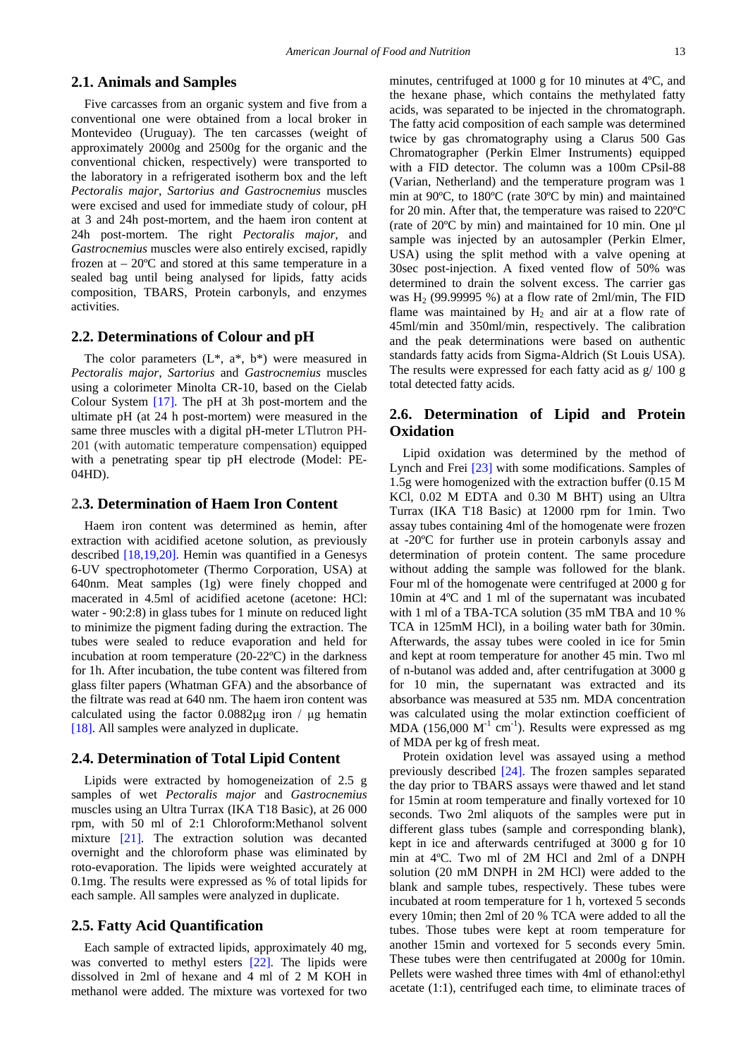#### **2.1. Animals and Samples**

Five carcasses from an organic system and five from a conventional one were obtained from a local broker in Montevideo (Uruguay). The ten carcasses (weight of approximately 2000g and 2500g for the organic and the conventional chicken, respectively) were transported to the laboratory in a refrigerated isotherm box and the left *Pectoralis major*, *Sartorius and Gastrocnemius* muscles were excised and used for immediate study of colour, pH at 3 and 24h post-mortem, and the haem iron content at 24h post-mortem. The right *Pectoralis major,* and *Gastrocnemius* muscles were also entirely excised, rapidly frozen at  $-20^{\circ}$ C and stored at this same temperature in a sealed bag until being analysed for lipids, fatty acids composition, TBARS, Protein carbonyls, and enzymes activities.

#### **2.2. Determinations of Colour and pH**

The color parameters  $(L^*, a^*, b^*)$  were measured in *Pectoralis major*, *Sartorius* and *Gastrocnemius* muscles using a colorimeter Minolta CR-10, based on the Cielab Colour System [\[17\].](#page-8-3) The pH at 3h post-mortem and the ultimate pH (at 24 h post-mortem) were measured in the same three muscles with a digital pH-meter LTlutron PH-201 (with automatic temperature compensation) equipped with a penetrating spear tip pH electrode (Model: PE-04HD).

#### **2.3. Determination of Haem Iron Content**

Haem iron content was determined as hemin, after extraction with acidified acetone solution, as previously described [\[18,19,20\].](#page-8-4) Hemin was quantified in a Genesys 6-UV spectrophotometer (Thermo Corporation, USA) at 640nm. Meat samples (1g) were finely chopped and macerated in 4.5ml of acidified acetone (acetone: HCl: water - 90:2:8) in glass tubes for 1 minute on reduced light to minimize the pigment fading during the extraction. The tubes were sealed to reduce evaporation and held for incubation at room temperature (20-22ºC) in the darkness for 1h. After incubation, the tube content was filtered from glass filter papers (Whatman GFA) and the absorbance of the filtrate was read at 640 nm. The haem iron content was calculated using the factor 0.0882μg iron / μg hematin [\[18\].](#page-8-4) All samples were analyzed in duplicate.

#### **2.4. Determination of Total Lipid Content**

Lipids were extracted by homogeneization of 2.5 g samples of wet *Pectoralis major* and *Gastrocnemius* muscles using an Ultra Turrax (IKA T18 Basic), at 26 000 rpm, with 50 ml of 2:1 Chloroform:Methanol solvent mixture [\[21\].](#page-8-5) The extraction solution was decanted overnight and the chloroform phase was eliminated by roto-evaporation. The lipids were weighted accurately at 0.1mg. The results were expressed as % of total lipids for each sample. All samples were analyzed in duplicate.

#### **2.5. Fatty Acid Quantification**

Each sample of extracted lipids, approximately 40 mg, was converted to methyl esters [\[22\].](#page-8-6) The lipids were dissolved in 2ml of hexane and 4 ml of 2 M KOH in methanol were added. The mixture was vortexed for two minutes, centrifuged at 1000 g for 10 minutes at 4ºC, and the hexane phase, which contains the methylated fatty acids, was separated to be injected in the chromatograph. The fatty acid composition of each sample was determined twice by gas chromatography using a Clarus 500 Gas Chromatographer (Perkin Elmer Instruments) equipped with a FID detector. The column was a 100m CPsil-88 (Varian, Netherland) and the temperature program was 1 min at 90ºC, to 180ºC (rate 30ºC by min) and maintained for 20 min. After that, the temperature was raised to 220ºC (rate of 20ºC by min) and maintained for 10 min. One µl sample was injected by an autosampler (Perkin Elmer, USA) using the split method with a valve opening at 30sec post-injection. A fixed vented flow of 50% was determined to drain the solvent excess. The carrier gas was  $H_2$  (99.99995 %) at a flow rate of 2ml/min, The FID flame was maintained by  $H_2$  and air at a flow rate of 45ml/min and 350ml/min, respectively. The calibration and the peak determinations were based on authentic standards fatty acids from Sigma-Aldrich (St Louis USA). The results were expressed for each fatty acid as g/ 100 g total detected fatty acids.

## **2.6. Determination of Lipid and Protein Oxidation**

Lipid oxidation was determined by the method of Lynch and Frei [\[23\]](#page-8-7) with some modifications. Samples of 1.5g were homogenized with the extraction buffer (0.15 M KCl, 0.02 M EDTA and 0.30 M BHT) using an Ultra Turrax (IKA T18 Basic) at 12000 rpm for 1min. Two assay tubes containing 4ml of the homogenate were frozen at -20ºC for further use in protein carbonyls assay and determination of protein content. The same procedure without adding the sample was followed for the blank. Four ml of the homogenate were centrifuged at 2000 g for 10min at 4ºC and 1 ml of the supernatant was incubated with 1 ml of a TBA-TCA solution (35 mM TBA and 10 % TCA in 125mM HCl), in a boiling water bath for 30min. Afterwards, the assay tubes were cooled in ice for 5min and kept at room temperature for another 45 min. Two ml of n-butanol was added and, after centrifugation at 3000 g for 10 min, the supernatant was extracted and its absorbance was measured at 535 nm. MDA concentration was calculated using the molar extinction coefficient of MDA (156,000  $M^{-1}$  cm<sup>-1</sup>). Results were expressed as mg of MDA per kg of fresh meat.

Protein oxidation level was assayed using a method previously described [\[24\].](#page-8-8) The frozen samples separated the day prior to TBARS assays were thawed and let stand for 15min at room temperature and finally vortexed for 10 seconds. Two 2ml aliquots of the samples were put in different glass tubes (sample and corresponding blank), kept in ice and afterwards centrifuged at 3000 g for 10 min at 4ºC. Two ml of 2M HCl and 2ml of a DNPH solution (20 mM DNPH in 2M HCl) were added to the blank and sample tubes, respectively. These tubes were incubated at room temperature for 1 h, vortexed 5 seconds every 10min; then 2ml of 20 % TCA were added to all the tubes. Those tubes were kept at room temperature for another 15min and vortexed for 5 seconds every 5min. These tubes were then centrifugated at 2000g for 10min. Pellets were washed three times with 4ml of ethanol:ethyl acetate (1:1), centrifuged each time, to eliminate traces of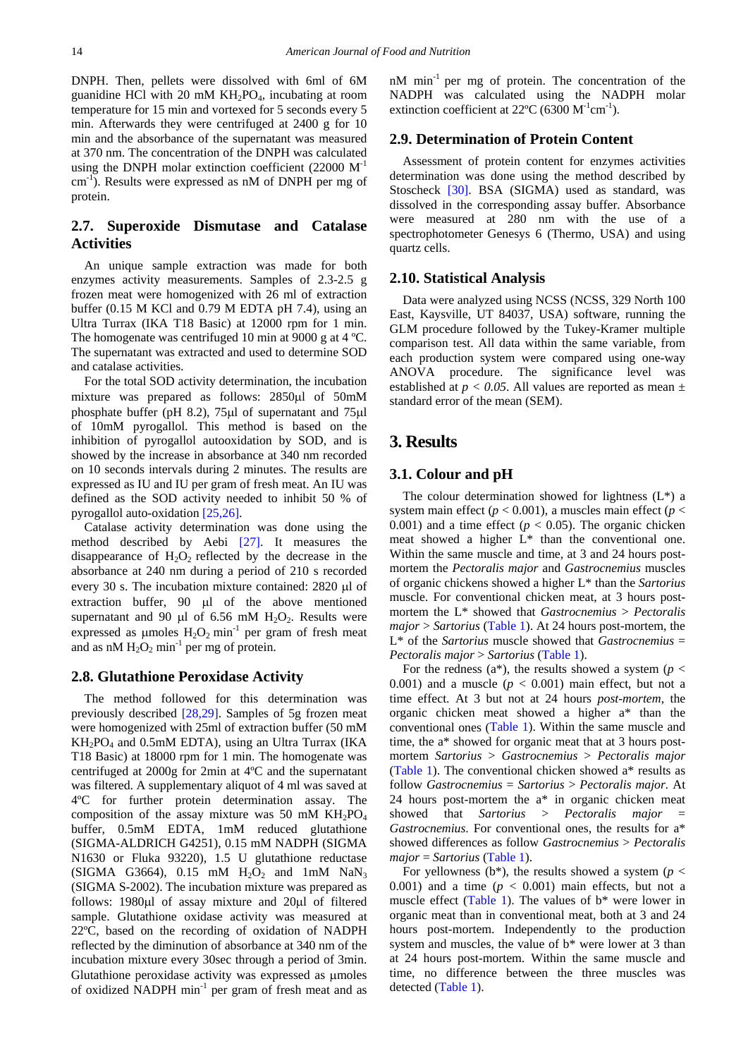DNPH. Then, pellets were dissolved with 6ml of 6M guanidine HCl with 20 mM  $KH_2PO_4$ , incubating at room temperature for 15 min and vortexed for 5 seconds every 5 min. Afterwards they were centrifuged at 2400 g for 10 min and the absorbance of the supernatant was measured at 370 nm. The concentration of the DNPH was calculated using the DNPH molar extinction coefficient  $(22000 \text{ M}^{-1})$ cm<sup>-1</sup>). Results were expressed as nM of DNPH per mg of protein.

## **2.7. Superoxide Dismutase and Catalase Activities**

An unique sample extraction was made for both enzymes activity measurements. Samples of 2.3-2.5 g frozen meat were homogenized with 26 ml of extraction buffer (0.15 M KCl and 0.79 M EDTA pH 7.4), using an Ultra Turrax (IKA T18 Basic) at 12000 rpm for 1 min. The homogenate was centrifuged 10 min at 9000 g at 4 ºC. The supernatant was extracted and used to determine SOD and catalase activities.

For the total SOD activity determination, the incubation mixture was prepared as follows: 2850µl of 50mM phosphate buffer (pH 8.2), 75µl of supernatant and 75µl of 10mM pyrogallol. This method is based on the inhibition of pyrogallol autooxidation by SOD, and is showed by the increase in absorbance at 340 nm recorded on 10 seconds intervals during 2 minutes. The results are expressed as IU and IU per gram of fresh meat. An IU was defined as the SOD activity needed to inhibit 50 % of pyrogallol auto-oxidation [\[25,26\].](#page-8-9)

Catalase activity determination was done using the method described by Aebi [\[27\].](#page-8-10) It measures the disappearance of  $H_2O_2$  reflected by the decrease in the absorbance at 240 nm during a period of 210 s recorded every 30 s. The incubation mixture contained: 2820 µl of extraction buffer, 90 µl of the above mentioned supernatant and 90  $\mu$ l of 6.56 mM H<sub>2</sub>O<sub>2</sub>. Results were expressed as  $\mu$ moles  $H_2O_2$  min<sup>-1</sup> per gram of fresh meat and as nM  $H_2O_2$  min<sup>-1</sup> per mg of protein.

## **2.8. Glutathione Peroxidase Activity**

The method followed for this determination was previously described [\[28,29\].](#page-8-11) Samples of 5g frozen meat were homogenized with 25ml of extraction buffer (50 mM  $KH<sub>2</sub>PO<sub>4</sub>$  and 0.5mM EDTA), using an Ultra Turrax (IKA T18 Basic) at 18000 rpm for 1 min. The homogenate was centrifuged at 2000g for 2min at 4ºC and the supernatant was filtered. A supplementary aliquot of 4 ml was saved at 4ºC for further protein determination assay. The composition of the assay mixture was 50 mM  $KH_2PO_4$ buffer, 0.5mM EDTA, 1mM reduced glutathione (SIGMA-ALDRICH G4251), 0.15 mM NADPH (SIGMA N1630 or Fluka 93220), 1.5 U glutathione reductase (SIGMA G3664),  $0.15$  mM  $H_2O_2$  and  $1mM$  NaN<sub>3</sub> (SIGMA S-2002). The incubation mixture was prepared as follows: 1980µl of assay mixture and 20µl of filtered sample. Glutathione oxidase activity was measured at 22ºC, based on the recording of oxidation of NADPH reflected by the diminution of absorbance at 340 nm of the incubation mixture every 30sec through a period of 3min. Glutathione peroxidase activity was expressed as µmoles of oxidized NADPH min<sup>-1</sup> per gram of fresh meat and as

nM min-1 per mg of protein. The concentration of the NADPH was calculated using the NADPH molar extinction coefficient at  $22^{\circ}$ C (6300 M<sup>-1</sup>cm<sup>-1</sup>).

#### **2.9. Determination of Protein Content**

Assessment of protein content for enzymes activities determination was done using the method described by Stoscheck [\[30\].](#page-8-12) BSA (SIGMA) used as standard, was dissolved in the corresponding assay buffer. Absorbance were measured at 280 nm with the use of a spectrophotometer Genesys 6 (Thermo, USA) and using quartz cells.

#### **2.10. Statistical Analysis**

Data were analyzed using NCSS (NCSS, 329 North 100 East, Kaysville, UT 84037, USA) software, running the GLM procedure followed by the Tukey-Kramer multiple comparison test. All data within the same variable, from each production system were compared using one-way ANOVA procedure. The significance level was established at  $p < 0.05$ . All values are reported as mean  $\pm$ standard error of the mean (SEM).

## **3. Results**

#### **3.1. Colour and pH**

The colour determination showed for lightness  $(L^*)$  a system main effect ( $p < 0.001$ ), a muscles main effect ( $p <$ 0.001) and a time effect ( $p < 0.05$ ). The organic chicken meat showed a higher L\* than the conventional one. Within the same muscle and time, at 3 and 24 hours postmortem the *Pectoralis major* and *Gastrocnemius* muscles of organic chickens showed a higher L\* than the *Sartorius* muscle. For conventional chicken meat, at 3 hours postmortem the L\* showed that *Gastrocnemius* > *Pectoralis major* > *Sartorius* [\(Table 1\)](#page-3-0). At 24 hours post-mortem, the L\* of the *Sartorius* muscle showed that *Gastrocnemius* = *Pectoralis major* > *Sartorius* [\(Table 1\)](#page-3-0).

For the redness ( $a^*$ ), the results showed a system ( $p <$ 0.001) and a muscle  $(p < 0.001)$  main effect, but not a time effect. At 3 but not at 24 hours *post-mortem*, the organic chicken meat showed a higher a\* than the conventional ones [\(Table 1\)](#page-3-0). Within the same muscle and time, the a\* showed for organic meat that at 3 hours postmortem *Sartorius* > *Gastrocnemius* > *Pectoralis major* [\(Table 1\)](#page-3-0). The conventional chicken showed a\* results as follow *Gastrocnemius* = *Sartorius* > *Pectoralis major.* At 24 hours post-mortem the a\* in organic chicken meat showed that *Sartorius* > *Pectoralis major* = *Gastrocnemius*. For conventional ones, the results for a\* showed differences as follow *Gastrocnemius* > *Pectoralis major* = *Sartorius* [\(Table 1\)](#page-3-0).

For yellowness ( $b^*$ ), the results showed a system ( $p <$ 0.001) and a time  $(p < 0.001)$  main effects, but not a muscle effect [\(Table 1\)](#page-3-0). The values of b\* were lower in organic meat than in conventional meat, both at 3 and 24 hours post-mortem. Independently to the production system and muscles, the value of b\* were lower at 3 than at 24 hours post-mortem. Within the same muscle and time, no difference between the three muscles was detected [\(Table 1\)](#page-3-0).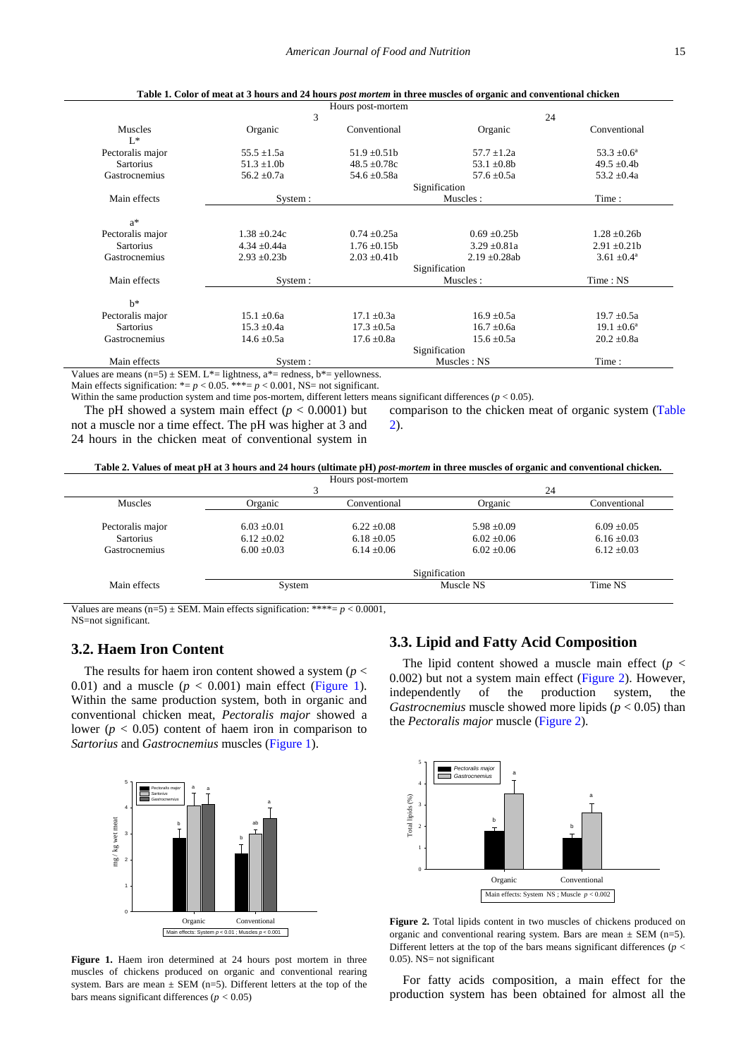<span id="page-3-0"></span>

|                  |                                                                                                                     | Hours post-mortem |                    |                        |  |  |
|------------------|---------------------------------------------------------------------------------------------------------------------|-------------------|--------------------|------------------------|--|--|
|                  | 3                                                                                                                   |                   |                    | 24                     |  |  |
| Muscles          | Organic                                                                                                             | Conventional      | Organic            | Conventional           |  |  |
| $L^*$            |                                                                                                                     |                   |                    |                        |  |  |
| Pectoralis major | $55.5 \pm 1.5a$                                                                                                     | $51.9 \pm 0.51b$  | $57.7 \pm 1.2a$    | $53.3 \pm 0.6^{\circ}$ |  |  |
| <b>Sartorius</b> | $51.3 \pm 1.0$                                                                                                      | $48.5 \pm 0.78c$  | 53.1 $\pm$ 0.8b    | 49.5 $\pm$ 0.4b        |  |  |
| Gastrocnemius    | $56.2 \pm 0.7a$                                                                                                     | 54.6 $\pm$ 0.58a  | $57.6 \pm 0.5a$    | $53.2 \pm 0.4a$        |  |  |
|                  | Signification                                                                                                       |                   |                    |                        |  |  |
| Main effects     | Muscles:<br>System :                                                                                                |                   |                    | Time:                  |  |  |
|                  |                                                                                                                     |                   |                    |                        |  |  |
| $a^*$            |                                                                                                                     |                   |                    |                        |  |  |
| Pectoralis major | $1.38 \pm 0.24c$                                                                                                    | $0.74 \pm 0.25a$  | $0.69 \pm 0.25b$   | $1.28 \pm 0.26b$       |  |  |
| <b>Sartorius</b> | $4.34 \pm 0.44a$                                                                                                    | $1.76 \pm 0.15b$  | $3.29 \pm 0.81a$   | $2.91 \pm 0.21$        |  |  |
| Gastrocnemius    | $2.93 \pm 0.23b$                                                                                                    | $2.03 \pm 0.41$   | $2.19 \pm 0.28$ ab | $3.61 \pm 0.4^{\circ}$ |  |  |
|                  |                                                                                                                     |                   | Signification      |                        |  |  |
| Main effects     | System :                                                                                                            |                   | Muscles:           | Time: NS               |  |  |
| $h^*$            |                                                                                                                     |                   |                    |                        |  |  |
| Pectoralis major | $15.1 \pm 0.6a$                                                                                                     | $17.1 \pm 0.3a$   | $16.9 \pm 0.5a$    | $19.7 \pm 0.5a$        |  |  |
| <b>Sartorius</b> | $15.3 \pm 0.4a$                                                                                                     | $17.3 \pm 0.5a$   | $16.7 \pm 0.6a$    | $19.1 \pm 0.6^{\circ}$ |  |  |
| Gastrocnemius    | $14.6 \pm 0.5a$                                                                                                     | $17.6 \pm 0.8a$   | $15.6 \pm 0.5a$    | $20.2 \pm 0.8a$        |  |  |
|                  |                                                                                                                     |                   |                    |                        |  |  |
| Main effects     | System:                                                                                                             |                   | Muscles: NS        | Time:                  |  |  |
|                  | the area means $(n=5) \pm SEM$ . L <sup>*</sup> = lightness, a <sup>*</sup> = redness, b <sup>*</sup> = yellowness. |                   |                    |                        |  |  |

**Table 1. Color of meat at 3 hours and 24 hours** *post mortem* **in three muscles of organic and conventional chicken**

Values are means  $(n=5) \pm SEM$ . L\*= lightness, a\*= redness, b\*= yellowness.

Main effects signification:  $* = p < 0.05$ .  $** = p < 0.001$ , NS= not significant.

Within the same production system and time pos-mortem, different letters means significant differences (*p* < 0.05).

The pH showed a system main effect  $(p < 0.0001)$  but not a muscle nor a time effect. The pH was higher at 3 and 24 hours in the chicken meat of conventional system in

comparison to the chicken meat of organic system [\(Table](#page-3-1)  [2\)](#page-3-1).

**Table 2. Values of meat pH at 3 hours and 24 hours (ultimate pH)** *post-mortem* **in three muscles of organic and conventional chicken.** Hours post-mortem

<span id="page-3-1"></span>

|                  |                 |                 | 24              |                 |  |  |
|------------------|-----------------|-----------------|-----------------|-----------------|--|--|
| <b>Muscles</b>   | Organic         | Conventional    | Organic         | Conventional    |  |  |
| Pectoralis major | $6.03 \pm 0.01$ | $6.22 + 0.08$   | $5.98 \pm 0.09$ | $6.09 \pm 0.05$ |  |  |
| Sartorius        | $6.12 \pm 0.02$ | $6.18 \pm 0.05$ | $6.02 \pm 0.06$ | $6.16 \pm 0.03$ |  |  |
| Gastrocnemius    | $6.00 \pm 0.03$ | $6.14 \pm 0.06$ | $6.02 \pm 0.06$ | $6.12 \pm 0.03$ |  |  |
|                  | Signification   |                 |                 |                 |  |  |
| Main effects     | System          |                 | Muscle NS       | Time NS         |  |  |

Values are means  $(n=5) \pm$  SEM. Main effects signification: \*\*\*\*=  $p < 0.0001$ , NS=not significant.

#### **3.2. Haem Iron Content**

The results for haem iron content showed a system (*p* < 0.01) and a muscle  $(p < 0.001)$  main effect [\(Figure](#page-3-2) 1). Within the same production system, both in organic and conventional chicken meat, *Pectoralis major* showed a lower ( $p < 0.05$ ) content of haem iron in comparison to *Sartorius* and *Gastrocnemius* muscles [\(Figure 1\)](#page-3-2).

<span id="page-3-2"></span>

**Figure 1.** Haem iron determined at 24 hours post mortem in three muscles of chickens produced on organic and conventional rearing system. Bars are mean  $\pm$  SEM (n=5). Different letters at the top of the bars means significant differences (*p <* 0.05)

#### **3.3. Lipid and Fatty Acid Composition**

The lipid content showed a muscle main effect  $(p <$ 0.002) but not a system main effect [\(Figure 2\)](#page-3-3). However, independently of the production system, the *Gastrocnemius* muscle showed more lipids (*p* < 0.05) than the *Pectoralis major* muscle [\(Figure 2\)](#page-3-3).

<span id="page-3-3"></span>

**Figure 2.** Total lipids content in two muscles of chickens produced on organic and conventional rearing system. Bars are mean  $\pm$  SEM (n=5). Different letters at the top of the bars means significant differences ( $p <$ 0.05). NS= not significant

For fatty acids composition, a main effect for the production system has been obtained for almost all the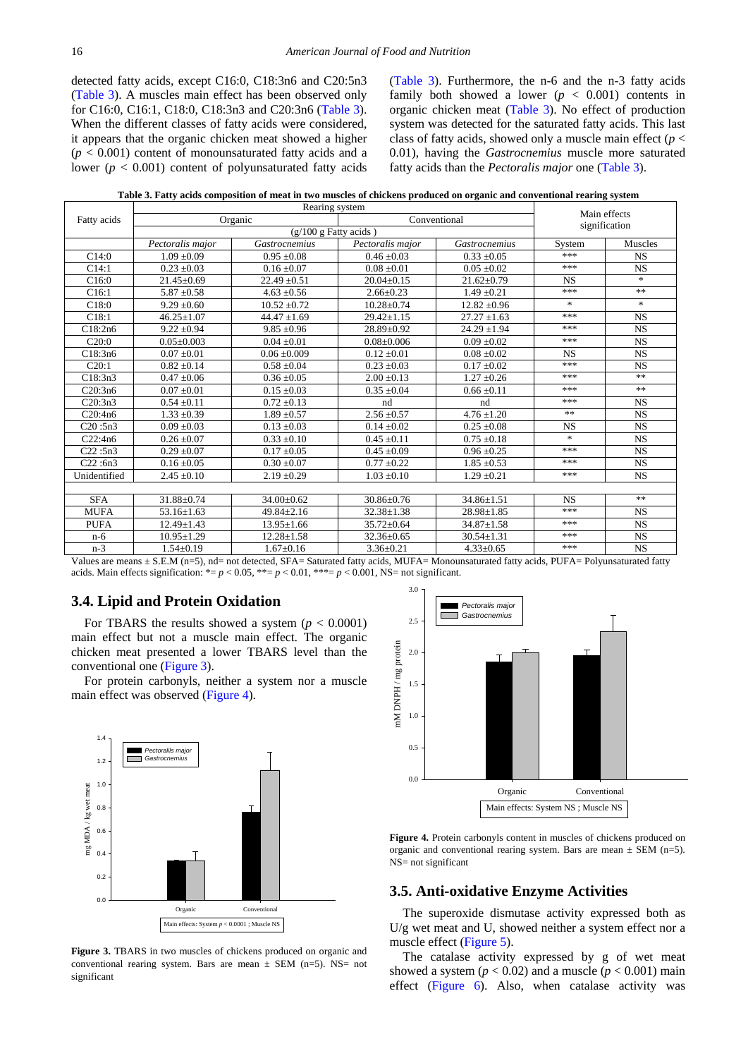detected fatty acids, except C16:0, C18:3n6 and C20:5n3 [\(Table 3\)](#page-4-0). A muscles main effect has been observed only for C16:0, C16:1, C18:0, C18:3n3 and C20:3n6 [\(Table 3\)](#page-4-0). When the different classes of fatty acids were considered, it appears that the organic chicken meat showed a higher  $(p < 0.001)$  content of monounsaturated fatty acids and a lower ( $p < 0.001$ ) content of polyunsaturated fatty acids [\(Table 3\)](#page-4-0). Furthermore, the n-6 and the n-3 fatty acids family both showed a lower  $(p < 0.001)$  contents in organic chicken meat [\(Table 3\)](#page-4-0). No effect of production system was detected for the saturated fatty acids. This last class of fatty acids, showed only a muscle main effect (*p* < 0.01), having the *Gastrocnemius* muscle more saturated fatty acids than the *Pectoralis major* one [\(Table 3\)](#page-4-0).

**Table 3. Fatty acids composition of meat in two muscles of chickens produced on organic and conventional rearing system**

<span id="page-4-0"></span>

|                                                                                                                                              | Rearing system   |                         |                  |                  |                               |                |  |  |
|----------------------------------------------------------------------------------------------------------------------------------------------|------------------|-------------------------|------------------|------------------|-------------------------------|----------------|--|--|
| Fatty acids                                                                                                                                  | Organic          |                         | Conventional     |                  | Main effects<br>signification |                |  |  |
|                                                                                                                                              |                  | $(g/100 g$ Fatty acids) |                  |                  |                               |                |  |  |
|                                                                                                                                              | Pectoralis major | Gastrocnemius           | Pectoralis major | Gastrocnemius    | System                        | <b>Muscles</b> |  |  |
| C14:0                                                                                                                                        | $1.09 \pm 0.09$  | $0.95 \pm 0.08$         | $0.46 \pm 0.03$  | $0.33 \pm 0.05$  | ***                           | <b>NS</b>      |  |  |
| C14:1                                                                                                                                        | $0.23 \pm 0.03$  | $0.16 \pm 0.07$         | $0.08 \pm 0.01$  | $0.05 \pm 0.02$  | ***                           | <b>NS</b>      |  |  |
| C16:0                                                                                                                                        | $21.45 \pm 0.69$ | $22.49 \pm 0.51$        | $20.04 \pm 0.15$ | $21.62 \pm 0.79$ | <b>NS</b>                     | $*$            |  |  |
| C16:1                                                                                                                                        | $5.87 \pm 0.58$  | $4.63 \pm 0.56$         | $2.66 + 0.23$    | $1.49 + 0.21$    | ***                           | **             |  |  |
| C18:0                                                                                                                                        | $9.29 \pm 0.60$  | $10.52 \pm 0.72$        | $10.28 \pm 0.74$ | $12.82 \pm 0.96$ | $\ast$                        | $\ast$         |  |  |
| C18:1                                                                                                                                        | $46.25 \pm 1.07$ | $44.47 \pm 1.69$        | $29.42 \pm 1.15$ | $27.27 \pm 1.63$ | ***                           | <b>NS</b>      |  |  |
| C18:2n6                                                                                                                                      | $9.22 \pm 0.94$  | $9.85 \pm 0.96$         | $28.89 \pm 0.92$ | $24.29 \pm 1.94$ | ***                           | <b>NS</b>      |  |  |
| C20:0                                                                                                                                        | $0.05 \pm 0.003$ | $0.04 \pm 0.01$         | $0.08 \pm 0.006$ | $0.09 \pm 0.02$  | $* * *$                       | <b>NS</b>      |  |  |
| C18:3n6                                                                                                                                      | $0.07 \pm 0.01$  | $0.06 \pm 0.009$        | $0.12 \pm 0.01$  | $0.08 \pm 0.02$  | <b>NS</b>                     | <b>NS</b>      |  |  |
| C20:1                                                                                                                                        | $0.82 \pm 0.14$  | $0.58 \pm 0.04$         | $0.23 \pm 0.03$  | $0.17 \pm 0.02$  | ***                           | <b>NS</b>      |  |  |
| C18:3n3                                                                                                                                      | $0.47 \pm 0.06$  | $0.36 \pm 0.05$         | $2.00 \pm 0.13$  | $1.27 \pm 0.26$  | ***                           | $\ast$         |  |  |
| C20:3n6                                                                                                                                      | $0.07 \pm 0.01$  | $0.15 \pm 0.03$         | $0.35 \pm 0.04$  | $0.66 \pm 0.11$  | ***                           | **             |  |  |
| C20:3n3                                                                                                                                      | $0.54 \pm 0.11$  | $0.72 \pm 0.13$         | nd               | nd               | ***                           | <b>NS</b>      |  |  |
| C20:4n6                                                                                                                                      | $1.33 \pm 0.39$  | $1.89 \pm 0.57$         | $2.56 \pm 0.57$  | $4.76 \pm 1.20$  | **                            | <b>NS</b>      |  |  |
| C20:5n3                                                                                                                                      | $0.09 \pm 0.03$  | $0.13 \pm 0.03$         | $0.14 \pm 0.02$  | $0.25 \pm 0.08$  | <b>NS</b>                     | <b>NS</b>      |  |  |
| C22:4n6                                                                                                                                      | $0.26 \pm 0.07$  | $0.33 \pm 0.10$         | $0.45 \pm 0.11$  | $0.75 \pm 0.18$  | $\ast$                        | <b>NS</b>      |  |  |
| C22:5n3                                                                                                                                      | $0.29 \pm 0.07$  | $0.17 \pm 0.05$         | $0.45 \pm 0.09$  | $0.96 \pm 0.25$  | ***                           | <b>NS</b>      |  |  |
| C22:6n3                                                                                                                                      | $0.16 \pm 0.05$  | $0.30 \pm 0.07$         | $0.77 \pm 0.22$  | $1.85 \pm 0.53$  | ***                           | <b>NS</b>      |  |  |
| Unidentified                                                                                                                                 | $2.45 \pm 0.10$  | $2.19 \pm 0.29$         | $1.03 \pm 0.10$  | $1.29 \pm 0.21$  | ***                           | <b>NS</b>      |  |  |
|                                                                                                                                              |                  |                         |                  |                  |                               |                |  |  |
| <b>SFA</b>                                                                                                                                   | $31.88 \pm 0.74$ | $34.00 \pm 0.62$        | $30.86 \pm 0.76$ | $34.86 \pm 1.51$ | <b>NS</b>                     | $**$           |  |  |
| <b>MUFA</b>                                                                                                                                  | $53.16 \pm 1.63$ | 49.84±2.16              | $32.38 \pm 1.38$ | $28.98 \pm 1.85$ | ***                           | <b>NS</b>      |  |  |
| <b>PUFA</b>                                                                                                                                  | $12.49 \pm 1.43$ | $13.95 \pm 1.66$        | $35.72 \pm 0.64$ | $34.87 \pm 1.58$ | ***                           | <b>NS</b>      |  |  |
| $n-6$                                                                                                                                        | $10.95 \pm 1.29$ | $12.28 \pm 1.58$        | $32.36 \pm 0.65$ | $30.54 \pm 1.31$ | ***                           | <b>NS</b>      |  |  |
| $n-3$                                                                                                                                        | $1.54 \pm 0.19$  | $1.67 \pm 0.16$         | $3.36 \pm 0.21$  | $4.33 \pm 0.65$  | ***                           | <b>NS</b>      |  |  |
| Values are means + S.E.M (n=5), nd= not detected. SFA= Saturated fatty acids, MUFA= Monounsaturated fatty acids, PUFA= Polyunsaturated fatty |                  |                         |                  |                  |                               |                |  |  |

acids. Main effects signification:  $* = p < 0.05$ ,  $** = p < 0.01$ ,  $** = p < 0.001$ , NS= not significant.

#### **3.4. Lipid and Protein Oxidation**

For TBARS the results showed a system  $(p < 0.0001)$ main effect but not a muscle main effect. The organic chicken meat presented a lower TBARS level than the conventional one [\(Figure 3\)](#page-4-1).

For protein carbonyls, neither a system nor a muscle main effect was observed [\(Figure 4\)](#page-4-2).

<span id="page-4-1"></span>

**Figure 3.** TBARS in two muscles of chickens produced on organic and conventional rearing system. Bars are mean  $\pm$  SEM (n=5). NS= not significant

<span id="page-4-2"></span>

**Figure 4.** Protein carbonyls content in muscles of chickens produced on organic and conventional rearing system. Bars are mean  $\pm$  SEM (n=5). NS= not significant

#### **3.5. Anti-oxidative Enzyme Activities**

The superoxide dismutase activity expressed both as U/g wet meat and U, showed neither a system effect nor a muscle effect [\(Figure 5\)](#page-5-0).

The catalase activity expressed by g of wet meat showed a system  $(p < 0.02)$  and a muscle  $(p < 0.001)$  main effect [\(Figure 6\)](#page-5-1). Also, when catalase activity was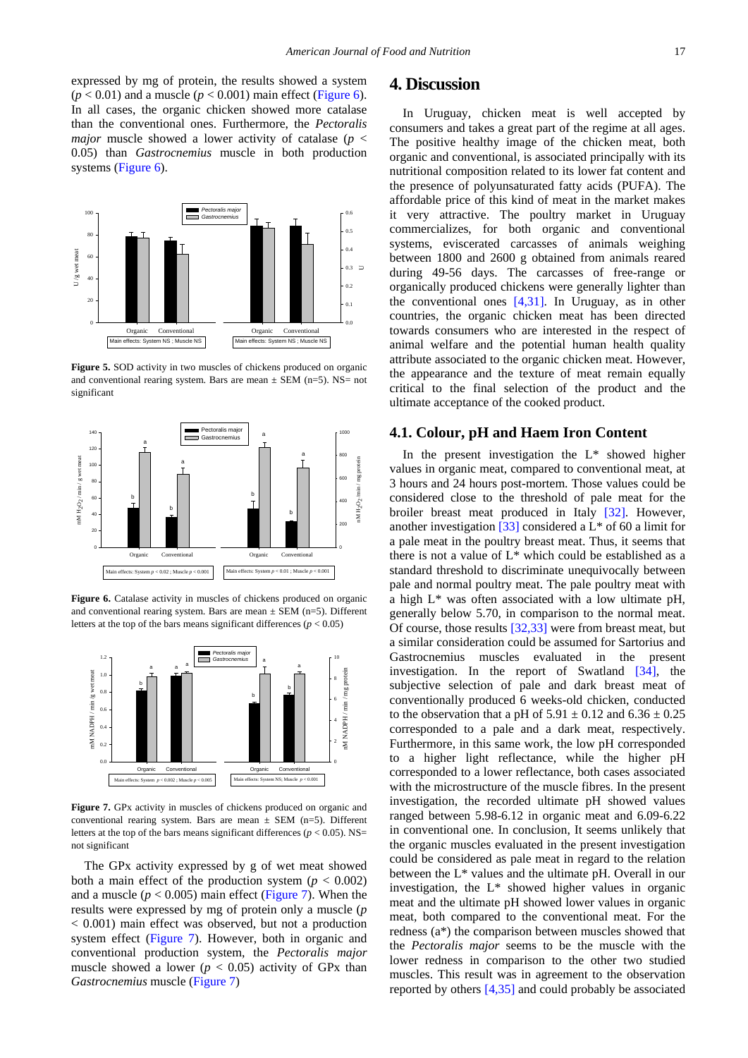expressed by mg of protein, the results showed a system  $(p < 0.01)$  and a muscle  $(p < 0.001)$  main effect [\(Figure 6\)](#page-5-1). In all cases, the organic chicken showed more catalase than the conventional ones. Furthermore, the *Pectoralis major* muscle showed a lower activity of catalase ( $p <$ 0.05) than *Gastrocnemius* muscle in both production systems [\(Figure 6\)](#page-5-1).

<span id="page-5-0"></span>

**Figure 5.** SOD activity in two muscles of chickens produced on organic and conventional rearing system. Bars are mean  $\pm$  SEM (n=5). NS= not significant

<span id="page-5-1"></span>

Figure 6. Catalase activity in muscles of chickens produced on organic and conventional rearing system. Bars are mean  $\pm$  SEM (n=5). Different letters at the top of the bars means significant differences  $(p < 0.05)$ 

<span id="page-5-2"></span>

**Figure 7.** GPx activity in muscles of chickens produced on organic and conventional rearing system. Bars are mean  $\pm$  SEM (n=5). Different letters at the top of the bars means significant differences ( $p < 0.05$ ). NS= not significant

The GPx activity expressed by g of wet meat showed both a main effect of the production system  $(p < 0.002)$ and a muscle ( $p < 0.005$ ) main effect [\(Figure 7\)](#page-5-2). When the results were expressed by mg of protein only a muscle (*p* < 0.001) main effect was observed, but not a production system effect [\(Figure 7\)](#page-5-2). However, both in organic and conventional production system, the *Pectoralis major* muscle showed a lower ( $p < 0.05$ ) activity of GPx than *Gastrocnemius* muscle [\(Figure 7\)](#page-5-2)

### **4. Discussion**

In Uruguay, chicken meat is well accepted by consumers and takes a great part of the regime at all ages. The positive healthy image of the chicken meat, both organic and conventional, is associated principally with its nutritional composition related to its lower fat content and the presence of polyunsaturated fatty acids (PUFA). The affordable price of this kind of meat in the market makes it very attractive. The poultry market in Uruguay commercializes, for both organic and conventional systems, eviscerated carcasses of animals weighing between 1800 and 2600 g obtained from animals reared during 49-56 days. The carcasses of free-range or organically produced chickens were generally lighter than the conventional ones [\[4,31\].](#page-7-2) In Uruguay, as in other countries, the organic chicken meat has been directed towards consumers who are interested in the respect of animal welfare and the potential human health quality attribute associated to the organic chicken meat. However, the appearance and the texture of meat remain equally critical to the final selection of the product and the ultimate acceptance of the cooked product.

#### **4.1. Colour, pH and Haem Iron Content**

In the present investigation the  $L^*$  showed higher values in organic meat, compared to conventional meat, at 3 hours and 24 hours post-mortem. Those values could be considered close to the threshold of pale meat for the broiler breast meat produced in Italy [\[32\].](#page-8-13) However, another investigation [\[33\]](#page-8-14) considered a L\* of 60 a limit for a pale meat in the poultry breast meat. Thus, it seems that there is not a value of L\* which could be established as a standard threshold to discriminate unequivocally between pale and normal poultry meat. The pale poultry meat with a high L\* was often associated with a low ultimate pH, generally below 5.70, in comparison to the normal meat. Of course, those result[s \[32,33\]](#page-8-13) were from breast meat, but a similar consideration could be assumed for Sartorius and Gastrocnemius muscles evaluated in the present investigation. In the report of Swatland [\[34\],](#page-8-15) the subjective selection of pale and dark breast meat of conventionally produced 6 weeks-old chicken, conducted to the observation that a pH of  $5.91 \pm 0.12$  and  $6.36 \pm 0.25$ corresponded to a pale and a dark meat, respectively. Furthermore, in this same work, the low pH corresponded to a higher light reflectance, while the higher pH corresponded to a lower reflectance, both cases associated with the microstructure of the muscle fibres. In the present investigation, the recorded ultimate pH showed values ranged between 5.98-6.12 in organic meat and 6.09-6.22 in conventional one. In conclusion, It seems unlikely that the organic muscles evaluated in the present investigation could be considered as pale meat in regard to the relation between the L\* values and the ultimate pH. Overall in our investigation, the  $L^*$  showed higher values in organic meat and the ultimate pH showed lower values in organic meat, both compared to the conventional meat. For the redness (a\*) the comparison between muscles showed that the *Pectoralis major* seems to be the muscle with the lower redness in comparison to the other two studied muscles. This result was in agreement to the observation reported by others [\[4,35\]](#page-7-2) and could probably be associated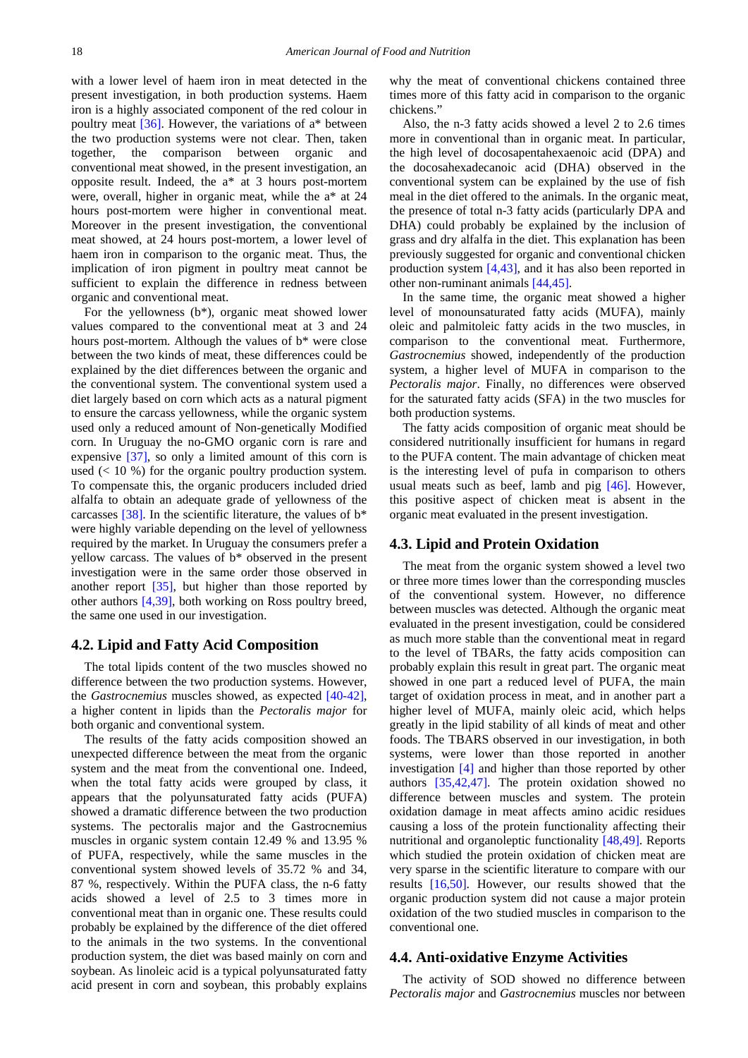with a lower level of haem iron in meat detected in the present investigation, in both production systems. Haem iron is a highly associated component of the red colour in poultry meat  $[36]$ . However, the variations of  $a^*$  between the two production systems were not clear. Then, taken together, the comparison between organic and conventional meat showed, in the present investigation, an opposite result. Indeed, the a\* at 3 hours post-mortem were, overall, higher in organic meat, while the a\* at 24 hours post-mortem were higher in conventional meat. Moreover in the present investigation, the conventional meat showed, at 24 hours post-mortem, a lower level of haem iron in comparison to the organic meat. Thus, the implication of iron pigment in poultry meat cannot be sufficient to explain the difference in redness between organic and conventional meat.

For the yellowness (b\*), organic meat showed lower values compared to the conventional meat at 3 and 24 hours post-mortem. Although the values of b\* were close between the two kinds of meat, these differences could be explained by the diet differences between the organic and the conventional system. The conventional system used a diet largely based on corn which acts as a natural pigment to ensure the carcass yellowness, while the organic system used only a reduced amount of Non-genetically Modified corn. In Uruguay the no-GMO organic corn is rare and expensive [\[37\],](#page-8-17) so only a limited amount of this corn is used  $\left($  < 10 %) for the organic poultry production system. To compensate this, the organic producers included dried alfalfa to obtain an adequate grade of yellowness of the carcasses [\[38\].](#page-8-18) In the scientific literature, the values of  $b^*$ were highly variable depending on the level of yellowness required by the market. In Uruguay the consumers prefer a yellow carcass. The values of b\* observed in the present investigation were in the same order those observed in another report [\[35\],](#page-8-19) but higher than those reported by other authors [\[4,39\],](#page-7-2) both working on Ross poultry breed, the same one used in our investigation.

#### **4.2. Lipid and Fatty Acid Composition**

The total lipids content of the two muscles showed no difference between the two production systems. However, the *Gastrocnemius* muscles showed, as expected [\[40-42\],](#page-8-20) a higher content in lipids than the *Pectoralis major* for both organic and conventional system.

The results of the fatty acids composition showed an unexpected difference between the meat from the organic system and the meat from the conventional one. Indeed, when the total fatty acids were grouped by class, it appears that the polyunsaturated fatty acids (PUFA) showed a dramatic difference between the two production systems. The pectoralis major and the Gastrocnemius muscles in organic system contain 12.49 % and 13.95 % of PUFA, respectively, while the same muscles in the conventional system showed levels of 35.72 % and 34, 87 %, respectively. Within the PUFA class, the n-6 fatty acids showed a level of 2.5 to 3 times more in conventional meat than in organic one. These results could probably be explained by the difference of the diet offered to the animals in the two systems. In the conventional production system, the diet was based mainly on corn and soybean. As linoleic acid is a typical polyunsaturated fatty acid present in corn and soybean, this probably explains why the meat of conventional chickens contained three times more of this fatty acid in comparison to the organic chickens."

Also, the n-3 fatty acids showed a level 2 to 2.6 times more in conventional than in organic meat. In particular, the high level of docosapentahexaenoic acid (DPA) and the docosahexadecanoic acid (DHA) observed in the conventional system can be explained by the use of fish meal in the diet offered to the animals. In the organic meat, the presence of total n-3 fatty acids (particularly DPA and DHA) could probably be explained by the inclusion of grass and dry alfalfa in the diet. This explanation has been previously suggested for organic and conventional chicken production system [\[4,43\],](#page-7-2) and it has also been reported in other non-ruminant animals [\[44,45\].](#page-8-21)

In the same time, the organic meat showed a higher level of monounsaturated fatty acids (MUFA), mainly oleic and palmitoleic fatty acids in the two muscles, in comparison to the conventional meat. Furthermore, *Gastrocnemius* showed, independently of the production system, a higher level of MUFA in comparison to the *Pectoralis major*. Finally, no differences were observed for the saturated fatty acids (SFA) in the two muscles for both production systems.

The fatty acids composition of organic meat should be considered nutritionally insufficient for humans in regard to the PUFA content. The main advantage of chicken meat is the interesting level of pufa in comparison to others usual meats such as beef, lamb and pig [\[46\].](#page-8-22) However, this positive aspect of chicken meat is absent in the organic meat evaluated in the present investigation.

#### **4.3. Lipid and Protein Oxidation**

The meat from the organic system showed a level two or three more times lower than the corresponding muscles of the conventional system. However, no difference between muscles was detected. Although the organic meat evaluated in the present investigation, could be considered as much more stable than the conventional meat in regard to the level of TBARs, the fatty acids composition can probably explain this result in great part. The organic meat showed in one part a reduced level of PUFA, the main target of oxidation process in meat, and in another part a higher level of MUFA, mainly oleic acid, which helps greatly in the lipid stability of all kinds of meat and other foods. The TBARS observed in our investigation, in both systems, were lower than those reported in another investigation [\[4\]](#page-7-2) and higher than those reported by other authors [\[35,42,47\].](#page-8-19) The protein oxidation showed no difference between muscles and system. The protein oxidation damage in meat affects amino acidic residues causing a loss of the protein functionality affecting their nutritional and organoleptic functionality [\[48,49\].](#page-8-23) Reports which studied the protein oxidation of chicken meat are very sparse in the scientific literature to compare with our results [\[16,50\].](#page-8-24) However, our results showed that the organic production system did not cause a major protein oxidation of the two studied muscles in comparison to the conventional one.

#### **4.4. Anti-oxidative Enzyme Activities**

The activity of SOD showed no difference between *Pectoralis major* and *Gastrocnemius* muscles nor between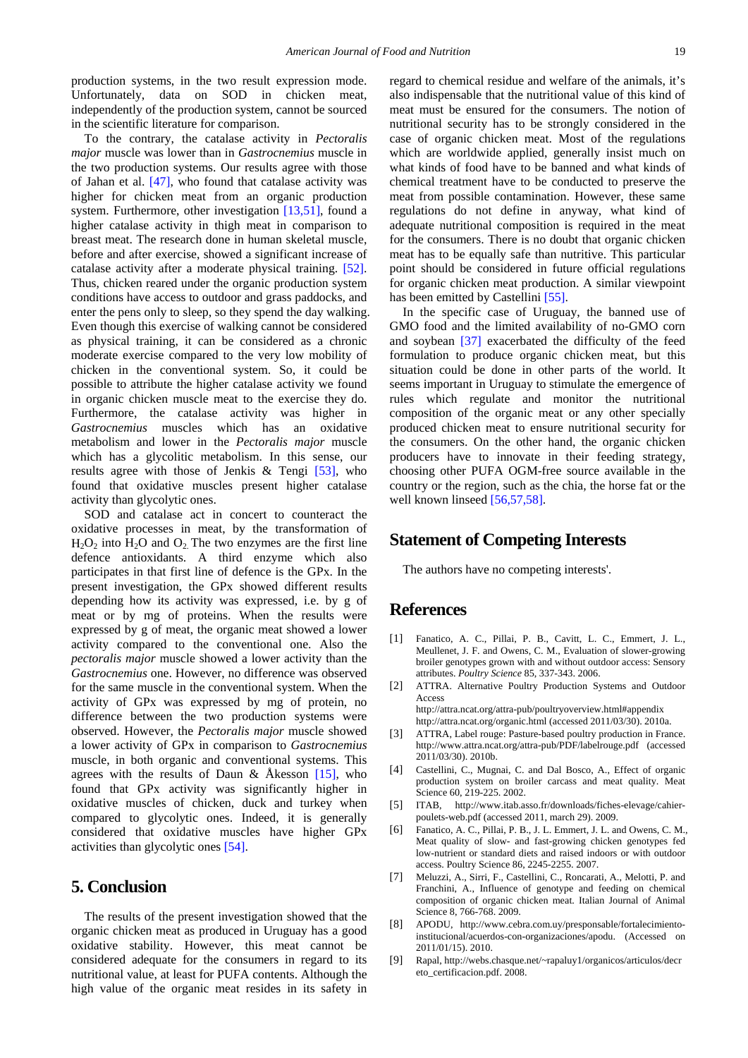production systems, in the two result expression mode. Unfortunately, data on SOD in chicken meat, independently of the production system, cannot be sourced in the scientific literature for comparison.

To the contrary, the catalase activity in *Pectoralis major* muscle was lower than in *Gastrocnemius* muscle in the two production systems. Our results agree with those of Jahan et al. [\[47\],](#page-8-25) who found that catalase activity was higher for chicken meat from an organic production system. Furthermore, other investigation [\[13,51\],](#page-8-26) found a higher catalase activity in thigh meat in comparison to breast meat. The research done in human skeletal muscle, before and after exercise, showed a significant increase of catalase activity after a moderate physical training. [\[52\].](#page-8-27) Thus, chicken reared under the organic production system conditions have access to outdoor and grass paddocks, and enter the pens only to sleep, so they spend the day walking. Even though this exercise of walking cannot be considered as physical training, it can be considered as a chronic moderate exercise compared to the very low mobility of chicken in the conventional system. So, it could be possible to attribute the higher catalase activity we found in organic chicken muscle meat to the exercise they do. Furthermore, the catalase activity was higher in *Gastrocnemius* muscles which has an oxidative metabolism and lower in the *Pectoralis major* muscle which has a glycolitic metabolism. In this sense, our results agree with those of Jenkis & Tengi [\[53\],](#page-8-28) who found that oxidative muscles present higher catalase activity than glycolytic ones.

SOD and catalase act in concert to counteract the oxidative processes in meat, by the transformation of  $H_2O_2$  into  $H_2O$  and  $O_2$ . The two enzymes are the first line defence antioxidants. A third enzyme which also participates in that first line of defence is the GPx. In the present investigation, the GPx showed different results depending how its activity was expressed, i.e. by g of meat or by mg of proteins. When the results were expressed by g of meat, the organic meat showed a lower activity compared to the conventional one. Also the *pectoralis major* muscle showed a lower activity than the *Gastrocnemius* one. However, no difference was observed for the same muscle in the conventional system. When the activity of GPx was expressed by mg of protein, no difference between the two production systems were observed. However, the *Pectoralis major* muscle showed a lower activity of GPx in comparison to *Gastrocnemius* muscle, in both organic and conventional systems. This agrees with the results of Daun & Åkesson [\[15\],](#page-8-29) who found that GPx activity was significantly higher in oxidative muscles of chicken, duck and turkey when compared to glycolytic ones. Indeed, it is generally considered that oxidative muscles have higher GPx activities than glycolytic ones [\[54\].](#page-8-30)

# **5. Conclusion**

The results of the present investigation showed that the organic chicken meat as produced in Uruguay has a good oxidative stability. However, this meat cannot be considered adequate for the consumers in regard to its nutritional value, at least for PUFA contents. Although the high value of the organic meat resides in its safety in

regard to chemical residue and welfare of the animals, it's also indispensable that the nutritional value of this kind of meat must be ensured for the consumers. The notion of nutritional security has to be strongly considered in the case of organic chicken meat. Most of the regulations which are worldwide applied, generally insist much on what kinds of food have to be banned and what kinds of chemical treatment have to be conducted to preserve the meat from possible contamination. However, these same regulations do not define in anyway, what kind of adequate nutritional composition is required in the meat for the consumers. There is no doubt that organic chicken meat has to be equally safe than nutritive. This particular point should be considered in future official regulations for organic chicken meat production. A similar viewpoint has been emitted by Castellini [\[55\].](#page-8-31)

In the specific case of Uruguay, the banned use of GMO food and the limited availability of no-GMO corn and soybean [\[37\]](#page-8-17) exacerbated the difficulty of the feed formulation to produce organic chicken meat, but this situation could be done in other parts of the world. It seems important in Uruguay to stimulate the emergence of rules which regulate and monitor the nutritional composition of the organic meat or any other specially produced chicken meat to ensure nutritional security for the consumers. On the other hand, the organic chicken producers have to innovate in their feeding strategy, choosing other PUFA OGM-free source available in the country or the region, such as the chia, the horse fat or the well known linseed [\[56,57,58\].](#page-8-32)

# **Statement of Competing Interests**

The authors have no competing interests'.

# **References**

- <span id="page-7-0"></span>[1] Fanatico, A. C., Pillai, P. B., Cavitt, L. C., Emmert, J. L., Meullenet, J. F. and Owens, C. M., Evaluation of slower-growing broiler genotypes grown with and without outdoor access: Sensory attributes. *Poultry Science* 85, 337-343. 2006.
- <span id="page-7-1"></span>[2] ATTRA. Alternative Poultry Production Systems and Outdoor Access

http://attra.ncat.org/attra-pub/poultryoverview.html#appendix http://attra.ncat.org/organic.html (accessed 2011/03/30). 2010a.

- [3] ATTRA, Label rouge: Pasture-based poultry production in France. http://www.attra.ncat.org/attra-pub/PDF/labelrouge.pdf (accessed 2011/03/30). 2010b.
- <span id="page-7-2"></span>[4] Castellini, C., Mugnai, C. and Dal Bosco, A., Effect of organic production system on broiler carcass and meat quality. Meat Science 60, 219-225. 2002.
- [5] ITAB, http://www.itab.asso.fr/downloads/fiches-elevage/cahierpoulets-web.pdf (accessed 2011, march 29). 2009.
- [6] Fanatico, A. C., Pillai, P. B., J. L. Emmert, J. L. and Owens, C. M., Meat quality of slow- and fast-growing chicken genotypes fed low-nutrient or standard diets and raised indoors or with outdoor access. Poultry Science 86, 2245-2255. 2007.
- <span id="page-7-3"></span>[7] Meluzzi, A., Sirri, F., Castellini, C., Roncarati, A., Melotti, P. and Franchini, A., Influence of genotype and feeding on chemical composition of organic chicken meat. Italian Journal of Animal Science 8, 766-768. 2009.
- <span id="page-7-4"></span>[8] APODU, http://www.cebra.com.uy/presponsable/fortalecimientoinstitucional/acuerdos-con-organizaciones/apodu. (Accessed on 2011/01/15). 2010.
- <span id="page-7-5"></span>[9] Rapal, http://webs.chasque.net/~rapaluy1/organicos/articulos/decr eto\_certificacion.pdf. 2008.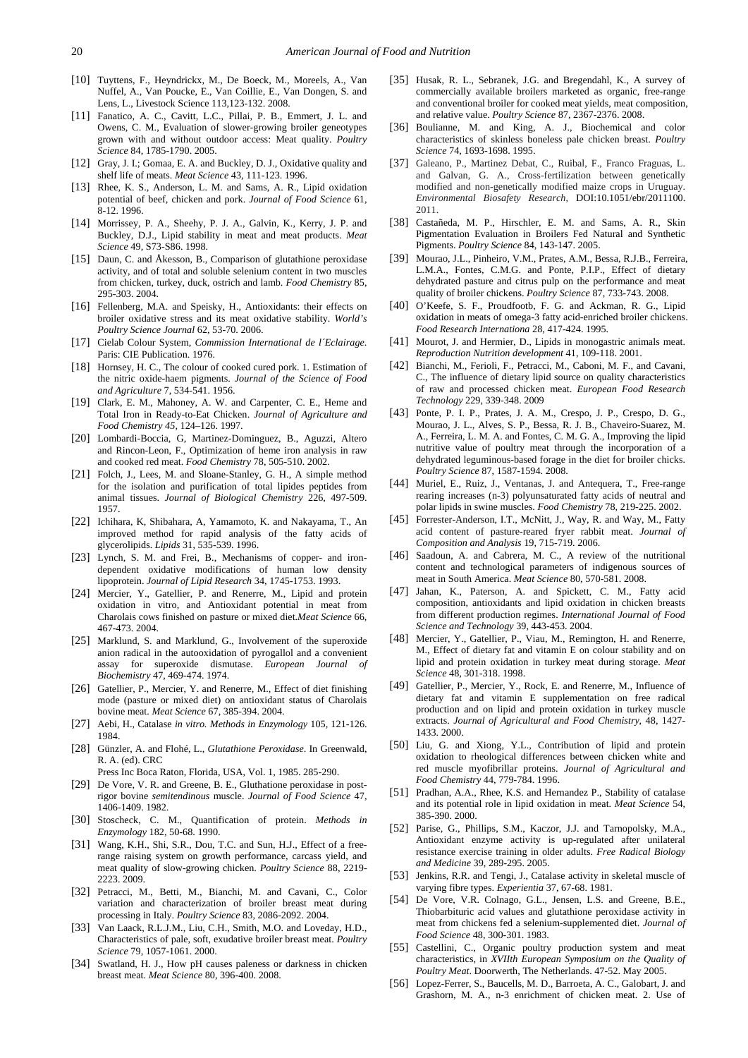- <span id="page-8-0"></span>[10] Tuyttens, F., Heyndrickx, M., De Boeck, M., Moreels, A., Van Nuffel, A., Van Poucke, E., Van Coillie, E., Van Dongen, S. and Lens, L., Livestock Science 113,123-132. 2008.
- <span id="page-8-1"></span>[11] Fanatico, A. C., Cavitt, L.C., Pillai, P. B., Emmert, J. L. and Owens, C. M., Evaluation of slower-growing broiler geneotypes grown with and without outdoor access: Meat quality. *Poultry Science* 84, 1785-1790. 2005.
- <span id="page-8-2"></span>[12] Gray, J. I.; Gomaa, E. A. and Buckley, D. J., Oxidative quality and shelf life of meats. *Meat Science* 43, 111-123. 1996.
- <span id="page-8-26"></span>[13] Rhee, K. S., Anderson, L. M. and Sams, A. R., Lipid oxidation potential of beef, chicken and pork. *Journal of Food Science* 61*,*  8-12. 1996.
- [14] Morrissey, P. A., Sheehy, P. J. A., Galvin, K., Kerry, J. P. and Buckley, D.J., Lipid stability in meat and meat products. *Meat Science* 49*,* S73-S86. 1998.
- <span id="page-8-29"></span>[15] Daun, C. and Åkesson, B., Comparison of glutathione peroxidase activity, and of total and soluble selenium content in two muscles from chicken, turkey, duck, ostrich and lamb. *Food Chemistry* 85, 295-303. 2004.
- <span id="page-8-24"></span>[16] Fellenberg, M.A. and Speisky, H., Antioxidants: their effects on broiler oxidative stress and its meat oxidative stability. *World's Poultry Science Journal* 62, 53-70. 2006.
- <span id="page-8-3"></span>[17] Cielab Colour System, *Commission International de l´Eclairage*. Paris: CIE Publication. 1976.
- <span id="page-8-4"></span>[18] Hornsey, H. C., The colour of cooked cured pork. 1. Estimation of the nitric oxide-haem pigments. *Journal of the Science of Food and Agriculture* 7, 534-541. 1956.
- [19] Clark, E. M., Mahoney, A. W. and Carpenter, C. E., Heme and Total Iron in Ready-to-Eat Chicken. *Journal of Agriculture and Food Chemistry 45,* 124–126. 1997.
- [20] Lombardi-Boccia, G, Martinez-Dominguez, B., Aguzzi, Altero and Rincon-Leon, F., Optimization of heme iron analysis in raw and cooked red meat. *Food Chemistry* 78, 505-510. 2002.
- <span id="page-8-5"></span>[21] Folch, J., Lees, M. and Sloane-Stanley, G. H., A simple method for the isolation and purification of total lipides peptides from animal tissues. *Journal of Biological Chemistry* 226, 497-509. 1957.
- <span id="page-8-6"></span>[22] Ichihara, K, Shibahara, A, Yamamoto, K. and Nakayama, T., An improved method for rapid analysis of the fatty acids of glycerolipids. *Lipids* 31, 535-539. 1996.
- <span id="page-8-7"></span>[23] Lynch, S. M. and Frei, B., Mechanisms of copper- and irondependent oxidative modifications of human low density lipoprotein. *Journal of Lipid Research* 34, 1745-1753. 1993.
- <span id="page-8-8"></span>[24] Mercier, Y., Gatellier, P. and Renerre, M., Lipid and protein oxidation in vitro, and Antioxidant potential in meat from Charolais cows finished on pasture or mixed diet.*Meat Science* 66, 467-473. 2004.
- <span id="page-8-9"></span>[25] Marklund, S. and Marklund, G., Involvement of the superoxide anion radical in the autooxidation of pyrogallol and a convenient assay for superoxide dismutase. *European Journal of Biochemistry* 47, 469-474. 1974.
- [26] Gatellier, P., Mercier, Y. and Renerre, M., Effect of diet finishing mode (pasture or mixed diet) on antioxidant status of Charolais bovine meat. *Meat Science* 67, 385-394. 2004.
- <span id="page-8-10"></span>[27] Aebi, H., Catalase *in vitro. Methods in Enzymology* 105, 121-126. 1984.
- <span id="page-8-11"></span>[28] Günzler, A. and Flohé, L., *Glutathione Peroxidase*. In Greenwald, R. A. (ed). CRC
- Press Inc Boca Raton, Florida, USA, Vol. 1, 1985. 285-290.
- [29] De Vore, V. R. and Greene, B. E., Gluthatione peroxidase in postrigor bovine *semitendinous* muscle. *Journal of Food Science* 47, 1406-1409. 1982.
- <span id="page-8-12"></span>[30] Stoscheck, C. M., Quantification of protein. *Methods in Enzymology* 182, 50-68. 1990.
- [31] Wang, K.H., Shi, S.R., Dou, T.C. and Sun, H.J., Effect of a freerange raising system on growth performance, carcass yield, and meat quality of slow-growing chicken. *Poultry Science* 88, 2219- 2223. 2009.
- <span id="page-8-13"></span>[32] Petracci, M., Betti, M., Bianchi, M. and Cavani, C., Color variation and characterization of broiler breast meat during processing in Italy. *Poultry Science* 83, 2086-2092. 2004.
- <span id="page-8-14"></span>[33] Van Laack, R.L.J.M., Liu, C.H., Smith, M.O. and Loveday, H.D., Characteristics of pale, soft, exudative broiler breast meat. *Poultry Science* 79, 1057-1061. 2000.
- <span id="page-8-15"></span>[34] Swatland, H. J., How pH causes paleness or darkness in chicken breast meat. *Meat Science* 80, 396-400. 2008.
- <span id="page-8-19"></span>[35] Husak, R. L., Sebranek, J.G. and Bregendahl, K., A survey of commercially available broilers marketed as organic, free-range and conventional broiler for cooked meat yields, meat composition, and relative value. *Poultry Science* 87, 2367-2376. 2008.
- <span id="page-8-16"></span>[36] Boulianne, M. and King, A. J., Biochemical and color characteristics of skinless boneless pale chicken breast. *Poultry Science* 74, 1693-1698. 1995.
- <span id="page-8-17"></span>[37] Galeano, P., Martinez Debat, C., Ruibal, F., Franco Fraguas, L. and Galvan, G. A., Cross-fertilization between genetically modified and non-genetically modified maize crops in Uruguay. *Environmental Biosafety Research*, DOI:10.1051/ebr/2011100. 2011.
- <span id="page-8-18"></span>[38] Castañeda, M. P., Hirschler, E. M. and Sams, A. R., Skin Pigmentation Evaluation in Broilers Fed Natural and Synthetic Pigments. *Poultry Science* 84, 143-147. 2005.
- [39] Mourao, J.L., Pinheiro, V.M., Prates, A.M., Bessa, R.J.B., Ferreira, L.M.A., Fontes, C.M.G. and Ponte, P.I.P., Effect of dietary dehydrated pasture and citrus pulp on the performance and meat quality of broiler chickens. *Poultry Science* 87, 733-743. 2008.
- <span id="page-8-20"></span>[40] O'Keefe, S. F., Proudfootb, F. G. and Ackman, R. G., Lipid oxidation in meats of omega-3 fatty acid-enriched broiler chickens. *Food Research Internationa* 28, 417-424. 1995.
- [41] Mourot, J. and Hermier, D., Lipids in monogastric animals meat. *Reproduction Nutrition development* 41, 109-118. 2001.
- [42] Bianchi, M., Ferioli, F., Petracci, M., Caboni, M. F., and Cavani, C., The influence of dietary lipid source on quality characteristics of raw and processed chicken meat. *European Food Research Technology* 229, 339-348. 2009
- [43] Ponte, P. I. P., Prates, J. A. M., Crespo, J. P., Crespo, D. G., Mourao, J. L., Alves, S. P., Bessa, R. J. B., Chaveiro-Suarez, M. A., Ferreira, L. M. A. and Fontes, C. M. G. A., Improving the lipid nutritive value of poultry meat through the incorporation of a dehydrated leguminous-based forage in the diet for broiler chicks. *Poultry Science* 87, 1587-1594. 2008.
- <span id="page-8-21"></span>[44] Muriel, E., Ruiz, J., Ventanas, J. and Antequera, T., Free-range rearing increases (n-3) polyunsaturated fatty acids of neutral and polar lipids in swine muscles. *Food Chemistry* 78, 219-225. 2002.
- [45] Forrester-Anderson, I.T., McNitt, J., Way, R. and Way, M., Fatty acid content of pasture-reared fryer rabbit meat. *Journal of Composition and Analysis* 19, 715-719. 2006.
- <span id="page-8-22"></span>[46] Saadoun, A. and Cabrera, M. C., A review of the nutritional content and technological parameters of indigenous sources of meat in South America. *Meat Science* 80, 570-581. 2008.
- <span id="page-8-25"></span>[47] Jahan, K., Paterson, A. and Spickett, C. M., Fatty acid composition, antioxidants and lipid oxidation in chicken breasts from different production regimes. *International Journal of Food Science and Technology* 39, 443-453. 2004.
- <span id="page-8-23"></span>[48] Mercier, Y., Gatellier, P., Viau, M., Remington, H. and Renerre, M., Effect of dietary fat and vitamin E on colour stability and on lipid and protein oxidation in turkey meat during storage. *Meat Science* 48, 301-318. 1998.
- [49] Gatellier, P., Mercier, Y., Rock, E. and Renerre, M., Influence of dietary fat and vitamin E supplementation on free radical production and on lipid and protein oxidation in turkey muscle extracts. *Journal of Agricultural and Food Chemistry*, 48, 1427- 1433. 2000.
- [50] Liu, G. and Xiong, Y.L., Contribution of lipid and protein oxidation to rheological differences between chicken white and red muscle myofibrillar proteins. *Journal of Agricultural and Food Chemistry* 44, 779-784. 1996.
- [51] Pradhan, A.A., Rhee, K.S. and Hernandez P., Stability of catalase and its potential role in lipid oxidation in meat. *Meat Science* 54, 385-390. 2000.
- <span id="page-8-27"></span>[52] Parise, G., Phillips, S.M., Kaczor, J.J. and Tarnopolsky, M.A., Antioxidant enzyme activity is up-regulated after unilateral resistance exercise training in older adults. *Free Radical Biology and Medicine* 39, 289-295. 2005.
- <span id="page-8-28"></span>[53] Jenkins, R.R. and Tengi, J., Catalase activity in skeletal muscle of varying fibre types. *Experientia* 37, 67-68. 1981.
- <span id="page-8-30"></span>[54] De Vore, V.R. Colnago, G.L., Jensen, L.S. and Greene, B.E., Thiobarbituric acid values and glutathione peroxidase activity in meat from chickens fed a selenium-supplemented diet. *Journal of Food Science* 48, 300-301. 1983.
- <span id="page-8-31"></span>[55] Castellini, C., Organic poultry production system and meat characteristics, in *XVIIth European Symposium on the Quality of Poultry Meat*. Doorwerth, The Netherlands. 47-52. May 2005.
- <span id="page-8-32"></span>[56] Lopez-Ferrer, S., Baucells, M. D., Barroeta, A. C., Galobart, J. and Grashorn, M. A., n-3 enrichment of chicken meat. 2. Use of